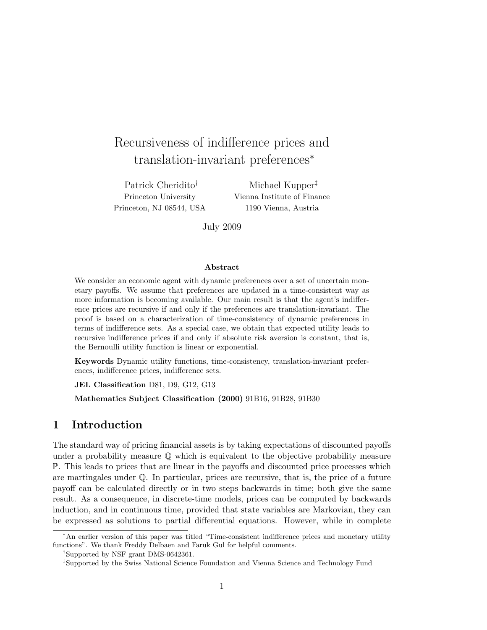# Recursiveness of indifference prices and translation-invariant preferences<sup>∗</sup>

Patrick Cheridito† Princeton University Princeton, NJ 08544, USA

Michael Kupper‡ Vienna Institute of Finance 1190 Vienna, Austria

July 2009

#### Abstract

We consider an economic agent with dynamic preferences over a set of uncertain monetary payoffs. We assume that preferences are updated in a time-consistent way as more information is becoming available. Our main result is that the agent's indifference prices are recursive if and only if the preferences are translation-invariant. The proof is based on a characterization of time-consistency of dynamic preferences in terms of indifference sets. As a special case, we obtain that expected utility leads to recursive indifference prices if and only if absolute risk aversion is constant, that is, the Bernoulli utility function is linear or exponential.

Keywords Dynamic utility functions, time-consistency, translation-invariant preferences, indifference prices, indifference sets.

JEL Classification D81, D9, G12, G13

Mathematics Subject Classification (2000) 91B16, 91B28, 91B30

## 1 Introduction

The standard way of pricing financial assets is by taking expectations of discounted payoffs under a probability measure  $\mathbb Q$  which is equivalent to the objective probability measure P. This leads to prices that are linear in the payoffs and discounted price processes which are martingales under  $\mathbb{Q}$ . In particular, prices are recursive, that is, the price of a future payoff can be calculated directly or in two steps backwards in time; both give the same result. As a consequence, in discrete-time models, prices can be computed by backwards induction, and in continuous time, provided that state variables are Markovian, they can be expressed as solutions to partial differential equations. However, while in complete

<sup>∗</sup>An earlier version of this paper was titled "Time-consistent indifference prices and monetary utility functions". We thank Freddy Delbaen and Faruk Gul for helpful comments.

<sup>†</sup>Supported by NSF grant DMS-0642361.

<sup>‡</sup>Supported by the Swiss National Science Foundation and Vienna Science and Technology Fund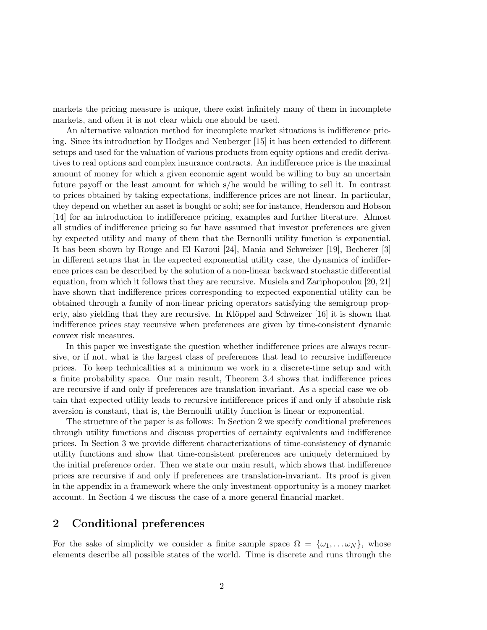markets the pricing measure is unique, there exist infinitely many of them in incomplete markets, and often it is not clear which one should be used.

An alternative valuation method for incomplete market situations is indifference pricing. Since its introduction by Hodges and Neuberger [15] it has been extended to different setups and used for the valuation of various products from equity options and credit derivatives to real options and complex insurance contracts. An indifference price is the maximal amount of money for which a given economic agent would be willing to buy an uncertain future payoff or the least amount for which s/he would be willing to sell it. In contrast to prices obtained by taking expectations, indifference prices are not linear. In particular, they depend on whether an asset is bought or sold; see for instance, Henderson and Hobson [14] for an introduction to indifference pricing, examples and further literature. Almost all studies of indifference pricing so far have assumed that investor preferences are given by expected utility and many of them that the Bernoulli utility function is exponential. It has been shown by Rouge and El Karoui [24], Mania and Schweizer [19], Becherer [3] in different setups that in the expected exponential utility case, the dynamics of indifference prices can be described by the solution of a non-linear backward stochastic differential equation, from which it follows that they are recursive. Musiela and Zariphopoulou [20, 21] have shown that indifference prices corresponding to expected exponential utility can be obtained through a family of non-linear pricing operators satisfying the semigroup property, also yielding that they are recursive. In Klöppel and Schweizer  $[16]$  it is shown that indifference prices stay recursive when preferences are given by time-consistent dynamic convex risk measures.

In this paper we investigate the question whether indifference prices are always recursive, or if not, what is the largest class of preferences that lead to recursive indifference prices. To keep technicalities at a minimum we work in a discrete-time setup and with a finite probability space. Our main result, Theorem 3.4 shows that indifference prices are recursive if and only if preferences are translation-invariant. As a special case we obtain that expected utility leads to recursive indifference prices if and only if absolute risk aversion is constant, that is, the Bernoulli utility function is linear or exponential.

The structure of the paper is as follows: In Section 2 we specify conditional preferences through utility functions and discuss properties of certainty equivalents and indifference prices. In Section 3 we provide different characterizations of time-consistency of dynamic utility functions and show that time-consistent preferences are uniquely determined by the initial preference order. Then we state our main result, which shows that indifference prices are recursive if and only if preferences are translation-invariant. Its proof is given in the appendix in a framework where the only investment opportunity is a money market account. In Section 4 we discuss the case of a more general financial market.

## 2 Conditional preferences

For the sake of simplicity we consider a finite sample space  $\Omega = {\omega_1, \dots \omega_N}$ , whose elements describe all possible states of the world. Time is discrete and runs through the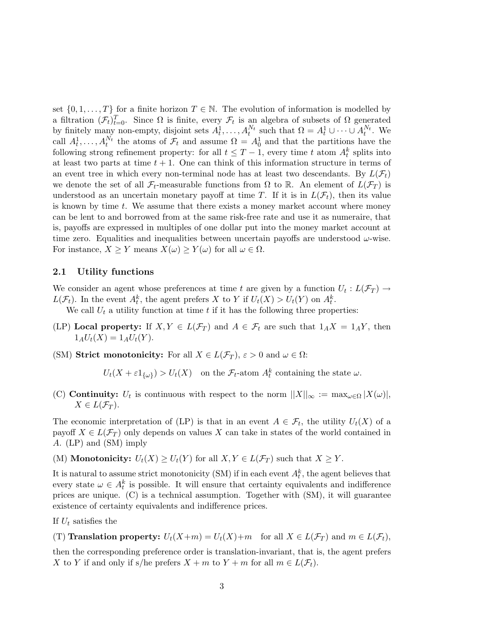set  $\{0, 1, \ldots, T\}$  for a finite horizon  $T \in \mathbb{N}$ . The evolution of information is modelled by a filtration  $(\mathcal{F}_t)_{t=0}^T$ . Since  $\Omega$  is finite, every  $\mathcal{F}_t$  is an algebra of subsets of  $\Omega$  generated by finitely many non-empty, disjoint sets  $A_t^1, \ldots, A_t^{N_t}$  such that  $\Omega = A_t^1 \cup \cdots \cup A_t^{N_t}$ . We call  $A_t^1, \ldots, A_t^{N_t}$  the atoms of  $\mathcal{F}_t$  and assume  $\Omega = A_0^1$  and that the partitions have the following strong refinement property: for all  $t \leq T-1$ , every time t atom  $A_t^k$  splits into at least two parts at time  $t + 1$ . One can think of this information structure in terms of an event tree in which every non-terminal node has at least two descendants. By  $L(\mathcal{F}_t)$ we denote the set of all  $\mathcal{F}_t$ -measurable functions from  $\Omega$  to  $\mathbb{R}$ . An element of  $L(\mathcal{F}_T)$  is understood as an uncertain monetary payoff at time T. If it is in  $L(\mathcal{F}_t)$ , then its value is known by time  $t$ . We assume that there exists a money market account where money can be lent to and borrowed from at the same risk-free rate and use it as numeraire, that is, payoffs are expressed in multiples of one dollar put into the money market account at time zero. Equalities and inequalities between uncertain payoffs are understood  $\omega$ -wise. For instance,  $X \geq Y$  means  $X(\omega) \geq Y(\omega)$  for all  $\omega \in \Omega$ .

#### 2.1 Utility functions

We consider an agent whose preferences at time t are given by a function  $U_t: L(\mathcal{F}_T) \to$  $L(\mathcal{F}_t)$ . In the event  $A_t^k$ , the agent prefers X to Y if  $U_t(X) > U_t(Y)$  on  $A_t^k$ .

We call  $U_t$  a utility function at time  $t$  if it has the following three properties:

- (LP) Local property: If  $X, Y \in L(\mathcal{F}_T)$  and  $A \in \mathcal{F}_t$  are such that  $1_A X = 1_A Y$ , then  $1_AU_t(X) = 1_AU_t(Y)$ .
- (SM) Strict monotonicity: For all  $X \in L(\mathcal{F}_T)$ ,  $\varepsilon > 0$  and  $\omega \in \Omega$ :

 $U_t(X + \varepsilon 1_{\{\omega\}}) > U_t(X)$  on the  $\mathcal{F}_t$ -atom  $A_t^k$  containing the state  $\omega$ .

(C) **Continuity:**  $U_t$  is continuous with respect to the norm  $||X||_{\infty} := \max_{\omega \in \Omega} |X(\omega)|$ ,  $X \in L(\mathcal{F}_T)$ .

The economic interpretation of (LP) is that in an event  $A \in \mathcal{F}_t$ , the utility  $U_t(X)$  of a payoff  $X \in L(\mathcal{F}_T)$  only depends on values X can take in states of the world contained in A. (LP) and (SM) imply

(M) **Monotonicity:**  $U_t(X) \geq U_t(Y)$  for all  $X, Y \in L(\mathcal{F}_T)$  such that  $X \geq Y$ .

It is natural to assume strict monotonicity (SM) if in each event  $A_t^k$ , the agent believes that every state  $\omega \in A_t^k$  is possible. It will ensure that certainty equivalents and indifference prices are unique. (C) is a technical assumption. Together with (SM), it will guarantee existence of certainty equivalents and indifference prices.

If  $U_t$  satisfies the

(T) Translation property:  $U_t(X+m) = U_t(X)+m$  for all  $X \in L(\mathcal{F}_T)$  and  $m \in L(\mathcal{F}_t)$ ,

then the corresponding preference order is translation-invariant, that is, the agent prefers X to Y if and only if s/he prefers  $X + m$  to  $Y + m$  for all  $m \in L(\mathcal{F}_t)$ .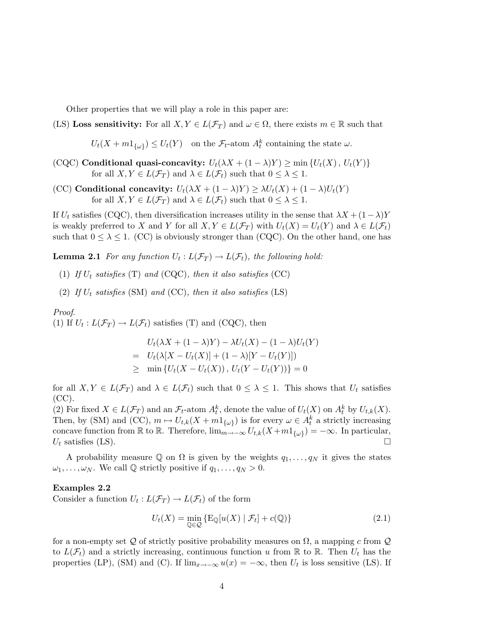Other properties that we will play a role in this paper are:

## (LS) Loss sensitivity: For all  $X, Y \in L(\mathcal{F}_T)$  and  $\omega \in \Omega$ , there exists  $m \in \mathbb{R}$  such that

 $U_t(X + m_1_{\{\omega\}}) \leq U_t(Y)$  on the  $\mathcal{F}_t$ -atom  $A_t^k$  containing the state  $\omega$ .

- (CQC) Conditional quasi-concavity:  $U_t(\lambda X + (1 \lambda)Y) \ge \min \{U_t(X), U_t(Y)\}$ for all  $X, Y \in L(\mathcal{F}_T)$  and  $\lambda \in L(\mathcal{F}_t)$  such that  $0 \leq \lambda \leq 1$ .
- (CC) Conditional concavity:  $U_t(\lambda X + (1 \lambda)Y) \geq \lambda U_t(X) + (1 \lambda)U_t(Y)$ for all  $X, Y \in L(\mathcal{F}_T)$  and  $\lambda \in L(\mathcal{F}_t)$  such that  $0 \leq \lambda \leq 1$ .

If  $U_t$  satisfies (CQC), then diversification increases utility in the sense that  $\lambda X + (1-\lambda)Y$ is weakly preferred to X and Y for all  $X, Y \in L(\mathcal{F}_T)$  with  $U_t(X) = U_t(Y)$  and  $\lambda \in L(\mathcal{F}_t)$ such that  $0 \leq \lambda \leq 1$ . (CC) is obviously stronger than (CQC). On the other hand, one has

**Lemma 2.1** For any function  $U_t: L(\mathcal{F}_T) \to L(\mathcal{F}_t)$ , the following hold:

- (1) If  $U_t$  satisfies (T) and (CQC), then it also satisfies (CC)
- (2) If  $U_t$  satisfies (SM) and (CC), then it also satisfies (LS)

Proof. (1) If  $U_t: L(\mathcal{F}_T) \to L(\mathcal{F}_t)$  satisfies (T) and (CQC), then

$$
U_t(\lambda X + (1 - \lambda)Y) - \lambda U_t(X) - (1 - \lambda)U_t(Y)
$$
  
=  $U_t(\lambda [X - U_t(X)] + (1 - \lambda)[Y - U_t(Y)])$   
 $\geq \min \{U_t(X - U_t(X)), U_t(Y - U_t(Y))\} = 0$ 

for all  $X, Y \in L(\mathcal{F}_T)$  and  $\lambda \in L(\mathcal{F}_t)$  such that  $0 \leq \lambda \leq 1$ . This shows that  $U_t$  satisfies  $(CC).$ 

(2) For fixed  $X \in L(\mathcal{F}_T)$  and an  $\mathcal{F}_t$ -atom  $A_t^k$ , denote the value of  $U_t(X)$  on  $A_t^k$  by  $U_{t,k}(X)$ . Then, by (SM) and (CC),  $m \mapsto U_{t,k}(X + m1_{\{\omega\}})$  is for every  $\omega \in A_t^k$  a strictly increasing concave function from R to R. Therefore,  $\lim_{m\to\infty} U_{t,k}(X+m1_{\{\omega\}}) = -\infty$ . In particular,  $U_t$  satisfies (LS).

A probability measure Q on  $\Omega$  is given by the weights  $q_1, \ldots, q_N$  it gives the states  $\omega_1, \ldots, \omega_N$ . We call  $\mathbb Q$  strictly positive if  $q_1, \ldots, q_N > 0$ .

#### Examples 2.2

Consider a function  $U_t: L(\mathcal{F}_T) \to L(\mathcal{F}_t)$  of the form

$$
U_t(X) = \min_{\mathbb{Q} \in \mathcal{Q}} \{ \mathcal{E}_{\mathbb{Q}}[u(X) | \mathcal{F}_t] + c(\mathbb{Q}) \}
$$
\n(2.1)

for a non-empty set Q of strictly positive probability measures on  $\Omega$ , a mapping c from Q to  $L(\mathcal{F}_t)$  and a strictly increasing, continuous function u from R to R. Then  $U_t$  has the properties (LP), (SM) and (C). If  $\lim_{x\to-\infty} u(x) = -\infty$ , then  $U_t$  is loss sensitive (LS). If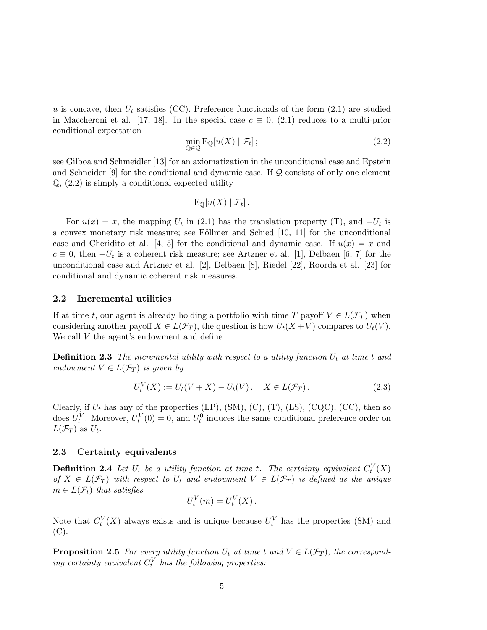u is concave, then  $U_t$  satisfies (CC). Preference functionals of the form (2.1) are studied in Maccheroni et al. [17, 18]. In the special case  $c \equiv 0$ , (2.1) reduces to a multi-prior conditional expectation

$$
\min_{\mathbb{Q}\in\mathcal{Q}}\mathrm{E}_{\mathbb{Q}}[u(X)\mid\mathcal{F}_t];\tag{2.2}
$$

see Gilboa and Schmeidler [13] for an axiomatization in the unconditional case and Epstein and Schneider  $[9]$  for the conditional and dynamic case. If  $\mathcal Q$  consists of only one element  $Q$ ,  $(2.2)$  is simply a conditional expected utility

$$
\mathrm{E}_{\mathbb{Q}}[u(X)\mid \mathcal{F}_t].
$$

For  $u(x) = x$ , the mapping  $U_t$  in (2.1) has the translation property (T), and  $-U_t$  is a convex monetary risk measure; see Föllmer and Schied  $[10, 11]$  for the unconditional case and Cheridito et al. [4, 5] for the conditional and dynamic case. If  $u(x) = x$  and  $c \equiv 0$ , then  $-U_t$  is a coherent risk measure; see Artzner et al. [1], Delbaen [6, 7] for the unconditional case and Artzner et al. [2], Delbaen [8], Riedel [22], Roorda et al. [23] for conditional and dynamic coherent risk measures.

#### 2.2 Incremental utilities

If at time t, our agent is already holding a portfolio with time T payoff  $V \in L(\mathcal{F}_T)$  when considering another payoff  $X \in L(\mathcal{F}_T)$ , the question is how  $U_t(X+V)$  compares to  $U_t(V)$ . We call V the agent's endowment and define

**Definition 2.3** The incremental utility with respect to a utility function  $U_t$  at time t and endowment  $V \in L(\mathcal{F}_T)$  is given by

$$
U_t^V(X) := U_t(V + X) - U_t(V), \quad X \in L(\mathcal{F}_T). \tag{2.3}
$$

Clearly, if  $U_t$  has any of the properties (LP), (SM), (C), (T), (LS), (CQC), (CC), then so does  $U_t^V$ . Moreover,  $U_t^V(0) = 0$ , and  $U_t^0$  induces the same conditional preference order on  $L(\mathcal{F}_T)$  as  $U_t$ .

#### 2.3 Certainty equivalents

**Definition 2.4** Let  $U_t$  be a utility function at time t. The certainty equivalent  $C_t^V(X)$ of  $X \in L(\mathcal{F}_T)$  with respect to  $U_t$  and endowment  $V \in L(\mathcal{F}_T)$  is defined as the unique  $m \in L(\mathcal{F}_t)$  that satisfies

$$
U_t^V(m) = U_t^V(X).
$$

Note that  $C_t^V(X)$  always exists and is unique because  $U_t^V$  has the properties (SM) and  $(C).$ 

**Proposition 2.5** For every utility function  $U_t$  at time t and  $V \in L(\mathcal{F}_T)$ , the corresponding certainty equivalent  $C_t^V$  has the following properties: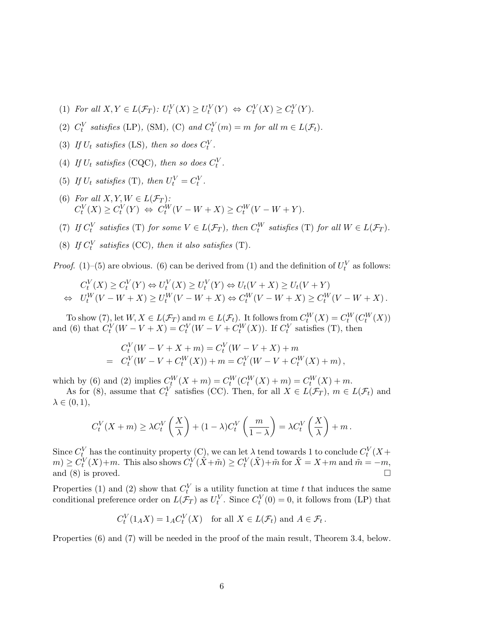- (1) For all  $X, Y \in L(\mathcal{F}_T)$ :  $U_t^V(X) \geq U_t^V(Y) \Leftrightarrow C_t^V(X) \geq C_t^V(Y)$ .
- (2)  $C_t^V$  satisfies (LP), (SM), (C) and  $C_t^V(m) = m$  for all  $m \in L(\mathcal{F}_t)$ .
- (3) If  $U_t$  satisfies (LS), then so does  $C_t^V$ .
- (4) If  $U_t$  satisfies (CQC), then so does  $C_t^V$ .
- (5) If  $U_t$  satisfies (T), then  $U_t^V = C_t^V$ .
- (6) For all  $X, Y, W \in L(\mathcal{F}_T)$ :  $C_t^V(X) \geq C_t^V(Y) \Leftrightarrow C_t^W(V - W + X) \geq C_t^W(V - W + Y).$
- (7) If  $C_t^V$  satisfies (T) for some  $V \in L(\mathcal{F}_T)$ , then  $C_t^W$  satisfies (T) for all  $W \in L(\mathcal{F}_T)$ .
- (8) If  $C_t^V$  satisfies (CC), then it also satisfies (T).

*Proof.* (1)–(5) are obvious. (6) can be derived from (1) and the definition of  $U_t^V$  as follows:

$$
C_t^V(X) \ge C_t^V(Y) \Leftrightarrow U_t^V(X) \ge U_t^V(Y) \Leftrightarrow U_t(V+X) \ge U_t(V+Y)
$$
  
\n
$$
\Leftrightarrow U_t^W(V-W+X) \ge U_t^W(V-W+X) \Leftrightarrow C_t^W(V-W+X) \ge C_t^W(V-W+X).
$$

To show (7), let  $W, X \in L(\mathcal{F}_T)$  and  $m \in L(\mathcal{F}_t)$ . It follows from  $C_t^W(X) = C_t^W(C_t^W(X))$ and (6) that  $C_t^V(W - V + X) = C_t^V(W - V + C_t^W(X))$ . If  $C_t^V$  satisfies (T), then

$$
C_t^V(W - V + X + m) = C_t^V(W - V + X) + m
$$
  
=  $C_t^V(W - V + C_t^W(X)) + m = C_t^V(W - V + C_t^W(X) + m),$ 

which by (6) and (2) implies  $C_t^W(X + m) = C_t^W(C_t^W(X) + m) = C_t^W(X) + m$ .

As for (8), assume that  $C_t^V$  satisfies (CC). Then, for all  $X \in L(\mathcal{F}_T)$ ,  $m \in L(\mathcal{F}_t)$  and  $\lambda \in (0,1),$ 

$$
C_t^V(X+m) \ge \lambda C_t^V\left(\frac{X}{\lambda}\right) + (1-\lambda)C_t^V\left(\frac{m}{1-\lambda}\right) = \lambda C_t^V\left(\frac{X}{\lambda}\right) + m.
$$

Since  $C_t^V$  has the continuity property (C), we can let  $\lambda$  tend towards 1 to conclude  $C_t^V(X +$  $m \geq C_t^V(X) + m$ . This also shows  $C_t^V(\tilde{X} + \tilde{m}) \geq C_t^V(\tilde{X}) + \tilde{m}$  for  $\tilde{X} = X + m$  and  $\tilde{m} = -m$ , and (8) is proved.  $\Box$ 

Properties (1) and (2) show that  $C_t^V$  is a utility function at time t that induces the same conditional preference order on  $L(\mathcal{F}_T)$  as  $U_t^V$ . Since  $C_t^V(0) = 0$ , it follows from (LP) that

$$
C_t^V(1_A X) = 1_A C_t^V(X) \quad \text{for all } X \in L(\mathcal{F}_t) \text{ and } A \in \mathcal{F}_t.
$$

Properties (6) and (7) will be needed in the proof of the main result, Theorem 3.4, below.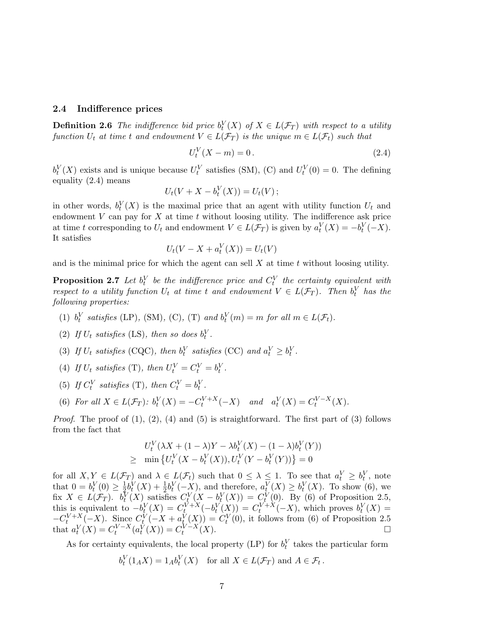#### 2.4 Indifference prices

**Definition 2.6** The indifference bid price  $b_t^V(X)$  of  $X \in L(\mathcal{F}_T)$  with respect to a utility function  $U_t$  at time t and endowment  $V \in L(\mathcal{F}_T)$  is the unique  $m \in L(\mathcal{F}_t)$  such that

$$
U_t^V(X - m) = 0.
$$
\n(2.4)

 $b_t^V(X)$  exists and is unique because  $U_t^V$  satisfies (SM), (C) and  $U_t^V(0) = 0$ . The defining equality (2.4) means

$$
U_t(V+X-b_t^V(X))=U_t(V);
$$

in other words,  $b_t^V(X)$  is the maximal price that an agent with utility function  $U_t$  and endowment  $V$  can pay for  $X$  at time  $t$  without loosing utility. The indifference ask price at time t corresponding to  $U_t$  and endowment  $V \in L(\mathcal{F}_T)$  is given by  $a_t^V(X) = -b_t^V(-X)$ . It satisfies

$$
U_t(V - X + a_t^V(X)) = U_t(V)
$$

and is the minimal price for which the agent can sell  $X$  at time  $t$  without loosing utility.

**Proposition 2.7** Let  $b_t^V$  be the indifference price and  $C_t^V$  the certainty equivalent with respect to a utility function  $U_t$  at time t and endowment  $V \in L(\mathcal{F}_T)$ . Then  $b_t^V$  has the following properties:

- (1)  $b_t^V$  satisfies (LP), (SM), (C), (T) and  $b_t^V(m) = m$  for all  $m \in L(\mathcal{F}_t)$ .
- (2) If  $U_t$  satisfies (LS), then so does  $b_t^V$ .
- (3) If  $U_t$  satisfies (CQC), then  $b_t^V$  satisfies (CC) and  $a_t^V \geq b_t^V$ .
- (4) If  $U_t$  satisfies (T), then  $U_t^V = C_t^V = b_t^V$ .
- (5) If  $C_t^V$  satisfies (T), then  $C_t^V = b_t^V$ .
- (6) For all  $X \in L(\mathcal{F}_T)$ :  $b_t^V(X) = -C_t^{V+X}(-X)$  and  $a_t^V(X) = C_t^{V-X}(X)$ .

*Proof.* The proof of  $(1)$ ,  $(2)$ ,  $(4)$  and  $(5)$  is straightforward. The first part of  $(3)$  follows from the fact that

$$
U_t^V(\lambda X + (1 - \lambda)Y - \lambda b_t^V(X) - (1 - \lambda)b_t^V(Y))
$$
  
\n
$$
\geq \min \{ U_t^V(X - b_t^V(X)), U_t^V(Y - b_t^V(Y)) \} = 0
$$

for all  $X, Y \in L(\mathcal{F}_T)$  and  $\lambda \in L(\mathcal{F}_t)$  such that  $0 \leq \lambda \leq 1$ . To see that  $a_t^V \geq b_t^V$ , note that  $0 = b_t^V(0) \geq \frac{1}{2}$  $\frac{1}{2}b_t^V(X) + \frac{1}{2}b_t^V(-X)$ , and therefore,  $a_t^V(X) \geq b_t^V(X)$ . To show (6), we fix  $X \in L(\mathcal{F}_T)$ .  $b_t^V(X)$  satisfies  $C_t^V(X - b_t^V(X)) = C_t^V(0)$ . By (6) of Proposition 2.5, this is equivalent to  $-b_t^V(X) = C_t^{\overline{V}+X}(-b_t^V(X)) = C_t^{\overline{V}+X}(-X)$ , which proves  $b_t^V(X) =$  $-C_t^{V+X}(-X)$ . Since  $C_t^V(-X+a_t^V(X))=C_t^V(0)$ , it follows from (6) of Proposition 2.5 that  $a_t^V(X) = C_t^{V-X}(a_t^V(X)) = C_t^{V-X}(X)$ .

As for certainty equivalents, the local property (LP) for  $b_t^V$  takes the particular form

$$
b_t^V(1_A X) = 1_A b_t^V(X) \quad \text{for all } X \in L(\mathcal{F}_T) \text{ and } A \in \mathcal{F}_t \,.
$$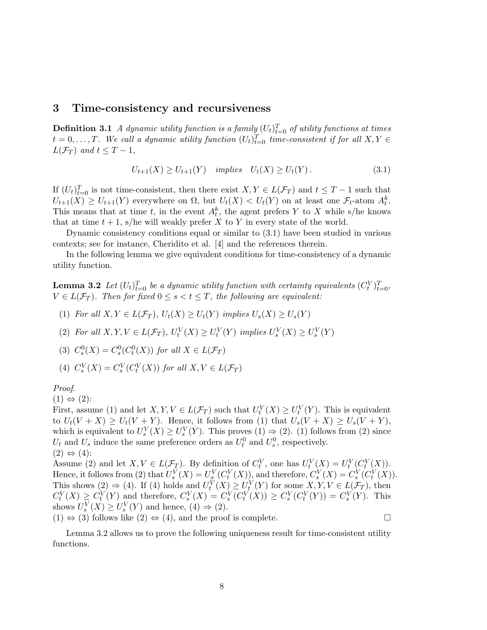## 3 Time-consistency and recursiveness

**Definition 3.1** A dynamic utility function is a family  $(U_t)_{t=0}^T$  of utility functions at times  $t = 0, \ldots, T$ . We call a dynamic utility function  $(U_t)_{t=0}^T$  time-consistent if for all  $X, Y \in$  $L(\mathcal{F}_T)$  and  $t \leq T-1$ ,

$$
U_{t+1}(X) \ge U_{t+1}(Y) \quad implies \quad U_t(X) \ge U_t(Y). \tag{3.1}
$$

If  $(U_t)_{t=0}^T$  is not time-consistent, then there exist  $X, Y \in L(\mathcal{F}_T)$  and  $t \leq T-1$  such that  $U_{t+1}(X) \geq U_{t+1}(Y)$  everywhere on  $\Omega$ , but  $U_t(X) < U_t(Y)$  on at least one  $\mathcal{F}_t$ -atom  $A_t^k$ . This means that at time t, in the event  $A_t^k$ , the agent prefers Y to X while s/he knows that at time  $t + 1$ , s/he will weakly prefer X to Y in every state of the world.

Dynamic consistency conditions equal or similar to (3.1) have been studied in various contexts; see for instance, Cheridito et al. [4] and the references therein.

In the following lemma we give equivalent conditions for time-consistency of a dynamic utility function.

**Lemma 3.2** Let  $(U_t)_{t=0}^T$  be a dynamic utility function with certainty equivalents  $(C_t^V)_{t=0}^T$ ,  $V \in L(\mathcal{F}_T)$ . Then for fixed  $0 \leq s < t \leq T$ , the following are equivalent:

- (1) For all  $X, Y \in L(\mathcal{F}_T)$ ,  $U_t(X) \geq U_t(Y)$  implies  $U_s(X) \geq U_s(Y)$
- (2) For all  $X, Y, V \in L(\mathcal{F}_T)$ ,  $U_t^V(X) \geq U_t^V(Y)$  implies  $U_s^V(X) \geq U_s^V(Y)$

(3) 
$$
C_s^0(X) = C_s^0(C_t^0(X))
$$
 for all  $X \in L(\mathcal{F}_T)$ 

(4) 
$$
C_s^V(X) = C_s^V(C_t^V(X))
$$
 for all  $X, V \in L(\mathcal{F}_T)$ 

Proof.

 $(1) \Leftrightarrow (2)$ :

First, assume (1) and let  $X, Y, V \in L(\mathcal{F}_T)$  such that  $U_t^V(X) \geq U_t^V(Y)$ . This is equivalent to  $U_t(V+X) \geq U_t(V+Y)$ . Hence, it follows from (1) that  $U_s(V+X) \geq U_s(V+Y)$ , which is equivalent to  $U_s^V(X) \geq U_s^V(Y)$ . This proves  $(1) \Rightarrow (2)$ . (1) follows from  $(2)$  since  $U_t$  and  $U_s$  induce the same preference orders as  $U_t^0$  and  $U_s^0$ , respectively.  $(2) \Leftrightarrow (4)$ :

Assume (2) and let  $X, V \in L(\mathcal{F}_T)$ . By definition of  $C_t^V$ , one has  $U_t^V(X) = U_t^V(C_t^V(X))$ . Hence, it follows from (2) that  $U_s^V(X) = U_s^V(C_t^V(X))$ , and therefore,  $C_s^V(X) = C_s^V(C_t^V(X))$ . This shows (2)  $\Rightarrow$  (4). If (4) holds and  $U_t^V(X) \ge U_t^V(Y)$  for some  $X, Y, V \in L(\mathcal{F}_T)$ , then  $C_t^V(X) \geq C_t^V(Y)$  and therefore,  $C_s^V(X) = C_s^V(C_t^V(X)) \geq C_s^V(C_t^V(Y)) = C_s^V(Y)$ . This shows  $U_s^V(X) \ge U_s^V(Y)$  and hence,  $(4) \Rightarrow (2)$ .

 $(1) \Leftrightarrow (3)$  follows like  $(2) \Leftrightarrow (4)$ , and the proof is complete.

Lemma 3.2 allows us to prove the following uniqueness result for time-consistent utility functions.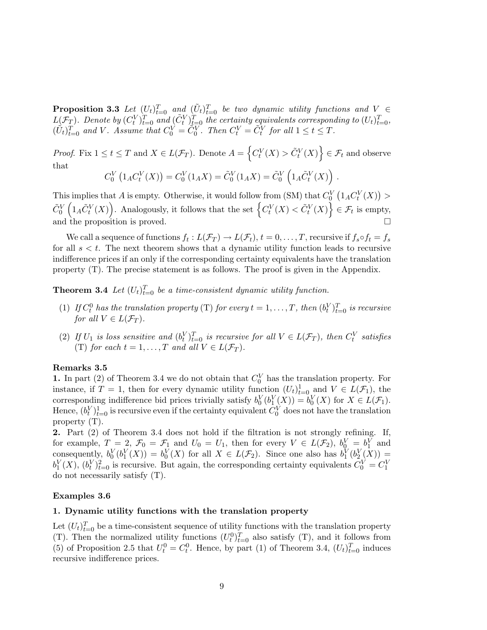**Proposition 3.3** Let  $(U_t)_{t=0}^T$  and  $(\tilde{U}_t)_{t=0}^T$  be two dynamic utility functions and  $V \in$  $L(\mathcal{F}_T)$ . Denote by  $(C_t^V)_{t=0}^T$  and  $(\tilde{C}_t^V)_{t=0}^T$  the certainty equivalents corresponding to  $(U_t)_{t=0}^T$ ,  $(\tilde{U}_t)_{t=0}^T$  and V. Assume that  $C_0^V = \tilde{C}_0^V$ . Then  $C_t^V = \tilde{C}_t^V$  for all  $1 \le t \le T$ .

*Proof.* Fix  $1 \le t \le T$  and  $X \in L(\mathcal{F}_T)$ . Denote  $A =$ n  $C_t^V(X) > \tilde{C}_t^V(X)$ o  $\in \mathcal{F}_t$  and observe that ¡ ¢  $\overline{a}$ ´

$$
C_0^V (1_A C_t^V (X)) = C_0^V (1_A X) = \tilde{C}_0^V (1_A X) = \tilde{C}_0^V (1_A \tilde{C}_t^V (X)) .
$$

This implies that A is empty. Otherwise, it would follow from (SM) that  $C_0^V$ ¡  $1_A C_t^V(X)$ ¢ s implies that A is empty. Otherwise, it would follow from (SM) that  $C_0^V\left(1_A C_t^V(X)\right) >$ This implies that A is empty. Otherwise, it would follow from (SM) that  $C_0$   $(1_A C_t^V(X))$ <br>  $\tilde{C}_0^V\left(1_A \tilde{C}_t^V(X)\right)$ . Analogously, it follows that the set  $\left\{C_t^V(X) < \tilde{C}_t^V(X)\right\} \in \mathcal{F}_t$  is empty, and the proposition is proved.  $\Box$ 

We call a sequence of functions  $f_t: L(\mathcal{F}_T) \to L(\mathcal{F}_t), t = 0, \ldots, T$ , recursive if  $f_s \circ f_t = f_s$ for all  $s < t$ . The next theorem shows that a dynamic utility function leads to recursive indifference prices if an only if the corresponding certainty equivalents have the translation property (T). The precise statement is as follows. The proof is given in the Appendix.

**Theorem 3.4** Let  $(U_t)_{t=0}^T$  be a time-consistent dynamic utility function.

- (1) If  $C_t^0$  has the translation property (T) for every  $t = 1, ..., T$ , then  $(b_t^V)_{t=0}^T$  is recursive for all  $V \in L(\mathcal{F}_T)$ .
- (2) If  $U_1$  is loss sensitive and  $(b_t^V)_{t=0}^T$  is recursive for all  $V \in L(\mathcal{F}_T)$ , then  $C_t^V$  satisfies (T) for each  $t = 1, ..., T$  and all  $V \in L(\mathcal{F}_T)$ .

#### Remarks 3.5

1. In part (2) of Theorem 3.4 we do not obtain that  $C_0^V$  has the translation property. For instance, if  $T = 1$ , then for every dynamic utility function  $(U_t)_{t=0}^1$  and  $V \in L(\mathcal{F}_1)$ , the corresponding indifference bid prices trivially satisfy  $b_0^V(b_1^V(X)) = b_0^V(X)$  for  $X \in L(\mathcal{F}_1)$ . Hence,  $(b_t^V)_{t=0}^1$  is recursive even if the certainty equivalent  $C_0^V$  does not have the translation property (T).

2. Part (2) of Theorem 3.4 does not hold if the filtration is not strongly refining. If, for example,  $T = 2$ ,  $\mathcal{F}_0 = \mathcal{F}_1$  and  $U_0 = U_1$ , then for every  $V \in L(\mathcal{F}_2)$ ,  $b_0^V = b_1^V$  and consequently,  $b_0^V(b_1^V(X)) = b_0^V(X)$  for all  $X \in L(\mathcal{F}_2)$ . Since one also has  $b_1^V(b_2^V(X)) =$  $b_1^V(X)$ ,  $(b_t^V)_{t=0}^2$  is recursive. But again, the corresponding certainty equivalents  $C_0^V = C_1^V$ do not necessarily satisfy (T).

#### Examples 3.6

#### 1. Dynamic utility functions with the translation property

Let  $(U_t)_{t=0}^T$  be a time-consistent sequence of utility functions with the translation property (T). Then the normalized utility functions  $(U_t^0)_{t=0}^T$  also satisfy (T), and it follows from (5) of Proposition 2.5 that  $U_t^0 = C_t^0$ . Hence, by part (1) of Theorem 3.4,  $(U_t)_{t=0}^T$  induces recursive indifference prices.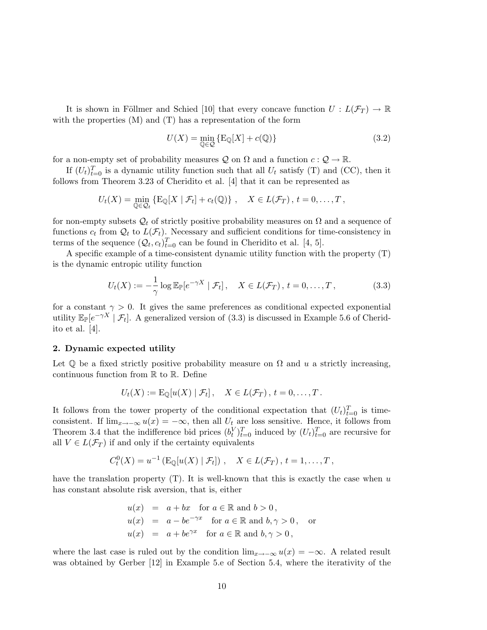It is shown in Föllmer and Schied [10] that every concave function  $U: L(\mathcal{F}_T) \to \mathbb{R}$ with the properties (M) and (T) has a representation of the form

$$
U(X) = \min_{\mathbb{Q} \in \mathcal{Q}} \{ \mathcal{E}_{\mathbb{Q}}[X] + c(\mathbb{Q}) \}
$$
\n(3.2)

for a non-empty set of probability measures Q on  $\Omega$  and a function  $c: \mathcal{Q} \to \mathbb{R}$ .

If  $(U_t)_{t=0}^T$  is a dynamic utility function such that all  $U_t$  satisfy (T) and (CC), then it follows from Theorem 3.23 of Cheridito et al. [4] that it can be represented as

$$
U_t(X) = \min_{\mathbb{Q} \in \mathcal{Q}_t} \{ \mathbb{E}_{\mathbb{Q}}[X \mid \mathcal{F}_t] + c_t(\mathbb{Q}) \}, \quad X \in L(\mathcal{F}_T), t = 0, \ldots, T,
$$

for non-empty subsets  $\mathcal{Q}_t$  of strictly positive probability measures on  $\Omega$  and a sequence of functions  $c_t$  from  $\mathcal{Q}_t$  to  $L(\mathcal{F}_t)$ . Necessary and sufficient conditions for time-consistency in terms of the sequence  $(Q_t, c_t)_{t=0}^T$  can be found in Cheridito et al. [4, 5].

A specific example of a time-consistent dynamic utility function with the property (T) is the dynamic entropic utility function

$$
U_t(X) := -\frac{1}{\gamma} \log \mathbb{E}_{\mathbb{P}}[e^{-\gamma X} | \mathcal{F}_t], \quad X \in L(\mathcal{F}_T), t = 0, \dots, T,
$$
 (3.3)

for a constant  $\gamma > 0$ . It gives the same preferences as conditional expected exponential utility  $\mathbb{E}_{\mathbb{P}}[e^{-\gamma X} | \mathcal{F}_t]$ . A generalized version of (3.3) is discussed in Example 5.6 of Cheridito et al. [4].

#### 2. Dynamic expected utility

Let  $\mathbb Q$  be a fixed strictly positive probability measure on  $\Omega$  and u a strictly increasing, continuous function from  $\mathbb R$  to  $\mathbb R$ . Define

$$
U_t(X) := \mathrm{E}_{\mathbb{Q}}[u(X) | \mathcal{F}_t], \quad X \in L(\mathcal{F}_T), t = 0, \ldots, T.
$$

It follows from the tower property of the conditional expectation that  $(U_t)_{t=0}^T$  is timeconsistent. If  $\lim_{x\to-\infty} u(x) = -\infty$ , then all  $U_t$  are loss sensitive. Hence, it follows from Theorem 3.4 that the indifference bid prices  $(b_t^V)_{t=0}^T$  induced by  $(U_t)_{t=0}^T$  are recursive for all  $V \in L(\mathcal{F}_T)$  if and only if the certainty equivalents

$$
C_t^0(X) = u^{-1} \left( \mathbb{E}_{\mathbb{Q}}[u(X) | \mathcal{F}_t] \right), \quad X \in L(\mathcal{F}_T), t = 1, \dots, T,
$$

have the translation property  $(T)$ . It is well-known that this is exactly the case when u has constant absolute risk aversion, that is, either

$$
u(x) = a + bx \text{ for } a \in \mathbb{R} \text{ and } b > 0,
$$
  
\n
$$
u(x) = a - be^{-\gamma x} \text{ for } a \in \mathbb{R} \text{ and } b, \gamma > 0, \text{ or}
$$
  
\n
$$
u(x) = a + be^{\gamma x} \text{ for } a \in \mathbb{R} \text{ and } b, \gamma > 0,
$$

where the last case is ruled out by the condition  $\lim_{x\to-\infty} u(x) = -\infty$ . A related result was obtained by Gerber [12] in Example 5.e of Section 5.4, where the iterativity of the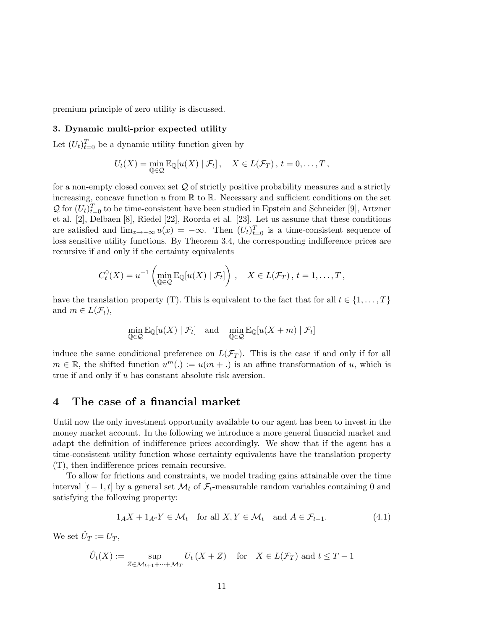premium principle of zero utility is discussed.

#### 3. Dynamic multi-prior expected utility

Let  $(U_t)_{t=0}^T$  be a dynamic utility function given by

$$
U_t(X) = \min_{\mathbb{Q} \in \mathcal{Q}} \mathbb{E}_{\mathbb{Q}}[u(X) | \mathcal{F}_t], \quad X \in L(\mathcal{F}_T), t = 0, \dots, T,
$$

for a non-empty closed convex set  $Q$  of strictly positive probability measures and a strictly increasing, concave function u from  $\mathbb R$  to  $\mathbb R$ . Necessary and sufficient conditions on the set  $\mathcal{Q}$  for  $(U_t)_{t=0}^T$  to be time-consistent have been studied in Epstein and Schneider [9], Artzner et al. [2], Delbaen [8], Riedel [22], Roorda et al. [23]. Let us assume that these conditions are satisfied and  $\lim_{x\to-\infty}u(x) = -\infty$ . Then  $(U_t)_{t=0}^T$  is a time-consistent sequence of loss sensitive utility functions. By Theorem 3.4, the corresponding indifference prices are recursive if and only if the certainty equivalents

$$
C_t^0(X) = u^{-1} \left( \min_{\mathbb{Q} \in \mathcal{Q}} \mathbb{E}_{\mathbb{Q}}[u(X) | \mathcal{F}_t] \right), \quad X \in L(\mathcal{F}_T), t = 1, \dots, T,
$$

have the translation property (T). This is equivalent to the fact that for all  $t \in \{1, \ldots, T\}$ and  $m \in L(\mathcal{F}_t)$ ,

$$
\min_{\mathbb{Q}\in\mathcal{Q}} \mathrm{E}_{\mathbb{Q}}[u(X)\mid \mathcal{F}_t] \quad \text{and} \quad \min_{\mathbb{Q}\in\mathcal{Q}} \mathrm{E}_{\mathbb{Q}}[u(X+m)\mid \mathcal{F}_t]
$$

induce the same conditional preference on  $L(\mathcal{F}_T)$ . This is the case if and only if for all  $m \in \mathbb{R}$ , the shifted function  $u^m(.) := u(m + .)$  is an affine transformation of u, which is true if and only if u has constant absolute risk aversion.

## 4 The case of a financial market

Until now the only investment opportunity available to our agent has been to invest in the money market account. In the following we introduce a more general financial market and adapt the definition of indifference prices accordingly. We show that if the agent has a time-consistent utility function whose certainty equivalents have the translation property (T), then indifference prices remain recursive.

To allow for frictions and constraints, we model trading gains attainable over the time interval  $[t-1, t]$  by a general set  $\mathcal{M}_t$  of  $\mathcal{F}_t$ -measurable random variables containing 0 and satisfying the following property:

$$
1_A X + 1_{A^c} Y \in \mathcal{M}_t \quad \text{for all } X, Y \in \mathcal{M}_t \quad \text{and } A \in \mathcal{F}_{t-1}.
$$
 (4.1)

We set  $\hat{U}_T := U_T$ ,

$$
\hat{U}_t(X) := \sup_{Z \in \mathcal{M}_{t+1} + \dots + \mathcal{M}_T} U_t(X + Z) \quad \text{for} \quad X \in L(\mathcal{F}_T) \text{ and } t \le T - 1
$$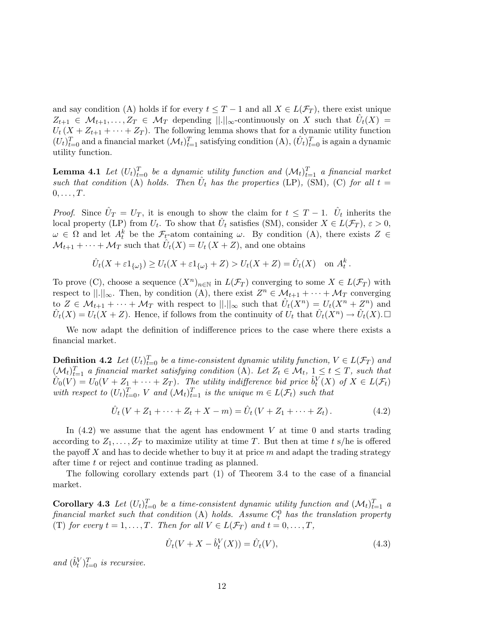and say condition (A) holds if for every  $t \leq T-1$  and all  $X \in L(\mathcal{F}_T)$ , there exist unique  $Z_{t+1} \in \mathcal{M}_{t+1}, \ldots, Z_T \in \mathcal{M}_T$  depending  $||.||_{\infty}$ -continuously on X such that  $\hat{U}_t(X) =$  $U_t$  (X +  $Z_{t+1}$  +  $\cdots$  +  $Z_T$ ). The following lemma shows that for a dynamic utility function  $(U_t)_{t=0}^T$  and a financial market  $(\mathcal{M}_t)_{t=1}^T$  satisfying condition  $(A), (\hat{U}_t)_{t=0}^T$  is again a dynamic utility function.

**Lemma 4.1** Let  $(U_t)_{t=0}^T$  be a dynamic utility function and  $(\mathcal{M}_t)_{t=1}^T$  a financial market such that condition  $\overline{A}$  holds. Then  $\hat{U}_t$  has the properties (LP), (SM), (C) for all  $t =$  $0, \ldots, T$ .

*Proof.* Since  $\hat{U}_T = U_T$ , it is enough to show the claim for  $t \leq T - 1$ .  $\hat{U}_t$  inherits the local property (LP) from  $U_t$ . To show that  $\hat{U}_t$  satisfies (SM), consider  $X \in L(\mathcal{F}_T)$ ,  $\varepsilon > 0$ ,  $\omega \in \Omega$  and let  $A_t^k$  be the  $\mathcal{F}_t$ -atom containing  $\omega$ . By condition (A), there exists  $Z \in$  $\mathcal{M}_{t+1} + \cdots + \mathcal{M}_T$  such that  $\hat{U}_t(X) = U_t(X+Z)$ , and one obtains

$$
\hat{U}_t(X + \varepsilon 1_{\{\omega\}}) \ge U_t(X + \varepsilon 1_{\{\omega\}} + Z) > U_t(X + Z) = \hat{U}_t(X) \text{ on } A_t^k.
$$

To prove (C), choose a sequence  $(X^n)_{n\in\mathbb{N}}$  in  $L(\mathcal{F}_T)$  converging to some  $X \in L(\mathcal{F}_T)$  with respect to  $\|\cdot\|_{\infty}$ . Then, by condition (A), there exist  $Z^n \in \mathcal{M}_{t+1} + \cdots + \mathcal{M}_T$  converging to  $Z \in \mathcal{M}_{t+1} + \cdots + \mathcal{M}_T$  with respect to  $||.||_{\infty}$  such that  $\hat{U}_t(X^n) = U_t(X^n + Z^n)$  and  $\hat{U}_t(X) = U_t(X+Z)$ . Hence, if follows from the continuity of  $U_t$  that  $\hat{U}_t(X^n) \to \hat{U}_t(X)$ .

We now adapt the definition of indifference prices to the case where there exists a financial market.

**Definition 4.2** Let  $(U_t)_{t=0}^T$  be a time-consistent dynamic utility function,  $V \in L(\mathcal{F}_T)$  and  $(\mathcal{M}_t)_{t=1}^T$  a financial market satisfying condition (A). Let  $Z_t \in \mathcal{M}_t$ ,  $1 \le t \le T$ , such that  $\hat{U}_0(V) = U_0(V + Z_1 + \cdots + Z_T)$ . The utility indifference bid price  $\hat{b}_t^V(X)$  of  $X \in L(\mathcal{F}_t)$ with respect to  $(U_t)_{t=0}^T$ , V and  $(\mathcal{M}_t)_{t=1}^T$  is the unique  $m \in L(\mathcal{F}_t)$  such that

$$
\hat{U}_t (V + Z_1 + \dots + Z_t + X - m) = \hat{U}_t (V + Z_1 + \dots + Z_t).
$$
\n(4.2)

In  $(4.2)$  we assume that the agent has endowment V at time 0 and starts trading according to  $Z_1, \ldots, Z_T$  to maximize utility at time T. But then at time t s/he is offered the payoff X and has to decide whether to buy it at price  $m$  and adapt the trading strategy after time t or reject and continue trading as planned.

The following corollary extends part (1) of Theorem 3.4 to the case of a financial market.

Corollary 4.3 Let  $(U_t)_{t=0}^T$  be a time-consistent dynamic utility function and  $(\mathcal{M}_t)_{t=1}^T$  a financial market such that condition (A) holds. Assume  $C_t^0$  has the translation property (T) for every  $t = 1, ..., T$ . Then for all  $V \in L(\mathcal{F}_T)$  and  $t = 0, ..., T$ ,

$$
\hat{U}_t(V + X - \hat{b}_t^V(X)) = \hat{U}_t(V),
$$
\n(4.3)

and  $(\hat{b}_t^V)_{t=0}^T$  is recursive.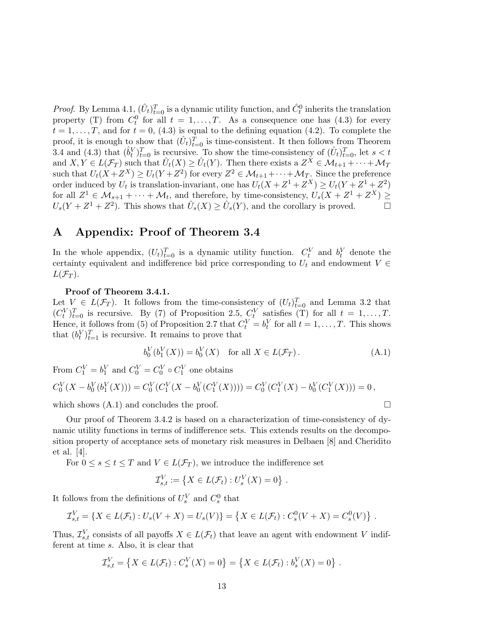*Proof.* By Lemma 4.1,  $(\hat{U}_t)_{t=0}^T$  is a dynamic utility function, and  $\hat{C}_t^0$  inherits the translation property (T) from  $C_t^0$  for all  $t = 1, ..., T$ . As a consequence one has (4.3) for every  $t = 1, \ldots, T$ , and for  $t = 0$ , (4.3) is equal to the defining equation (4.2). To complete the proof, it is enough to show that  $(\hat{U}_t)_{t=0}^{\hat{T}}$  is time-consistent. It then follows from Theorem 3.4 and (4.3) that  $(\hat{b}_t^V)_{t=0}^T$  is recursive. To show the time-consistency of  $(\hat{U}_t)_{t=0}^T$ , let  $s < t$ and  $X, Y \in L(\mathcal{F}_T)$  such that  $\hat{U}_t(X) \geq \hat{U}_t(Y)$ . Then there exists a  $Z^X \in \mathcal{M}_{t+1} + \cdots + \mathcal{M}_T$ such that  $U_t(X+Z^X) \ge U_t(Y+Z^2)$  for every  $Z^2 \in \mathcal{M}_{t+1} + \cdots + \mathcal{M}_T$ . Since the preference order induced by  $U_t$  is translation-invariant, one has  $U_t(X + Z^1 + Z^X) \ge U_t(Y + Z^1 + Z^2)$ for all  $Z^1 \in \mathcal{M}_{s+1} + \cdots + \mathcal{M}_t$ , and therefore, by time-consistency,  $U_s(X + Z^1 + Z^X) \geq$  $U_s(Y+Z^1+Z^2)$ . This shows that  $\hat{U}_s(X) \geq \hat{U}_s(Y)$ , and the corollary is proved.

## A Appendix: Proof of Theorem 3.4

In the whole appendix,  $(U_t)_{t=0}^T$  is a dynamic utility function.  $C_t^V$  and  $b_t^V$  denote the certainty equivalent and indifference bid price corresponding to  $U_t$  and endowment  $V \in$  $L(\mathcal{F}_T)$ .

#### Proof of Theorem 3.4.1.

Let  $V \in L(\mathcal{F}_T)$ . It follows from the time-consistency of  $(U_t)_{t=0}^T$  and Lemma 3.2 that  $(C_t^V)_{t=0}^T$  is recursive. By (7) of Proposition 2.5,  $C_t^V$  satisfies (T) for all  $t = 1, ..., T$ . Hence, it follows from (5) of Proposition 2.7 that  $C_t^V = b_t^V$  for all  $t = 1, ..., T$ . This shows that  $(b_t^V)_{t=1}^T$  is recursive. It remains to prove that

$$
b_0^V(b_1^V(X)) = b_0^V(X) \text{ for all } X \in L(\mathcal{F}_T). \tag{A.1}
$$

From  $C_1^V = b_1^V$  and  $C_0^V = C_0^V \circ C_1^V$  one obtains

$$
C_0^V(X - b_0^V(b_1^V(X))) = C_0^V(C_1^V(X - b_0^V(C_1^V(X)))) = C_0^V(C_1^V(X) - b_0^V(C_1^V(X))) = 0,
$$
  
which shows (A.1) and concludes the proof.

Our proof of Theorem 3.4.2 is based on a characterization of time-consistency of dynamic utility functions in terms of indifference sets. This extends results on the decomposition property of acceptance sets of monetary risk measures in Delbaen [8] and Cheridito et al. [4].

For  $0 \leq s \leq t \leq T$  and  $V \in L(\mathcal{F}_T)$ , we introduce the indifference set

$$
\mathcal{I}_{s,t}^V := \left\{ X \in L(\mathcal{F}_t) : U_s^V(X) = 0 \right\}.
$$

It follows from the definitions of  $U_s^V$  and  $C_s^0$  that

$$
\mathcal{I}_{s,t}^V = \{ X \in L(\mathcal{F}_t) : U_s(V + X) = U_s(V) \} = \{ X \in L(\mathcal{F}_t) : C_s^0(V + X) = C_s^0(V) \} .
$$

Thus,  $\mathcal{I}_{s,t}^V$  consists of all payoffs  $X \in L(\mathcal{F}_t)$  that leave an agent with endowment V indifferent at time s. Also, it is clear that

$$
\mathcal{I}_{s,t}^V = \{ X \in L(\mathcal{F}_t) : C_s^V(X) = 0 \} = \{ X \in L(\mathcal{F}_t) : b_s^V(X) = 0 \} .
$$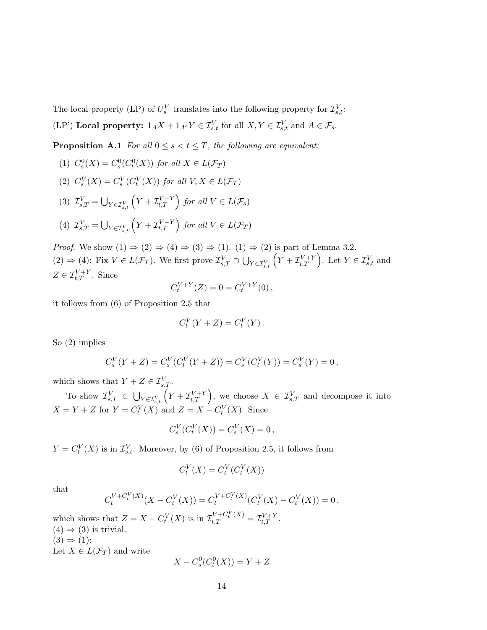The local property (LP) of  $U_s^V$  translates into the following property for  $\mathcal{I}_{s,t}^V$ :

(LP') Local property:  $1_A X + 1_{A^c} Y \in \mathcal{I}_{s,t}^V$  for all  $X, Y \in \mathcal{I}_{s,t}^V$  and  $A \in \mathcal{F}_s$ .

**Proposition A.1** For all  $0 \leq s < t \leq T$ , the following are equivalent:

(1) 
$$
C_s^0(X) = C_s^0(C_t^0(X))
$$
 for all  $X \in L(\mathcal{F}_T)$   
\n(2)  $C_s^V(X) = C_s^V(C_t^V(X))$  for all  $V, X \in L(\mathcal{F}_T)$   
\n(3)  $\mathcal{I}_{s,T}^V = \bigcup_{Y \in \mathcal{I}_{s,t}^V} \left(Y + \mathcal{I}_{t,T}^{V+Y}\right)$  for all  $V \in L(\mathcal{F}_s)$   
\n(4)  $\mathcal{I}_{s,T}^V = \bigcup_{Y \in \mathcal{I}_{s,t}^V} \left(Y + \mathcal{I}_{t,T}^{V+Y}\right)$  for all  $V \in L(\mathcal{F}_T)$ 

*Proof.* We show  $(1) \Rightarrow (2) \Rightarrow (4) \Rightarrow (3) \Rightarrow (1)$ .  $(1) \Rightarrow (2)$  is part of Lemma 3.2.  $(2) \Rightarrow (4)$ : Fix  $V \in L(\mathcal{F}_T)$ . We first prove  $\mathcal{I}_{s,T}^V \supset$  $\frac{7}{1}$ ⇒ (2) is part of 1<br> $Y \in \mathcal{I}_{s,t}^{V}$   $\left(Y + \mathcal{I}_{t,T}^{V+Y}\right)$ or Lemma 3.2.<br> $t^{V+Y}_{t,T}$ . Let  $Y \in \mathcal{I}_{s,t}^V$  and  $Z \in \mathcal{I}_{t,T}^{V+Y}$ . Since

$$
C_t^{V+Y}(Z) = 0 = C_t^{V+Y}(0),
$$

it follows from (6) of Proposition 2.5 that

$$
C_t^V(Y+Z) = C_t^V(Y).
$$

So (2) implies

$$
C_s^V(Y+Z) = C_s^V(C_t^V(Y+Z)) = C_s^V(C_t^V(Y)) = C_s^V(Y) = 0,
$$

which shows that  $Y + Z \in \mathcal{I}_{s,T}^V$ .

To show  $\mathcal{I}_{s,T}^V \subset$ S  $\begin{aligned} &\Sigma \in \mathcal{I}_{s,T} \cdot \ &\sum_{Y \in \mathcal{I}_{s,t}^{V}} \bigg( Y + \mathcal{I}_{t,T}^{V+Y} \bigg) \end{aligned}$  $\left\{t, T \atop t, T\right\}$ , we choose  $X \in \mathcal{I}_{s,T}^V$  and decompose it into  $X = Y + Z$  for  $Y = C_t^V(X)$  and  $Z = X - C_t^V(X)$ . Since

$$
C_s^V(C_t^V(X)) = C_s^V(X) = 0\,,
$$

 $Y = C_t^V(X)$  is in  $\mathcal{I}_{s,t}^V$ . Moreover, by (6) of Proposition 2.5, it follows from

$$
C_t^V(X) = C_t^V(C_t^V(X))
$$

that

$$
C_t^{V+C_t^V(X)}(X - C_t^V(X)) = C_t^{V+C_t^V(X)}(C_t^V(X) - C_t^V(X)) = 0,
$$

which shows that  $Z = X - C_t^V(X)$  is in  $\mathcal{I}_{t,T}^{V+C_t^V(X)} = \mathcal{I}_{t,T}^{V+Y}$ .  $(4) \Rightarrow (3)$  is trivial.  $(3) \Rightarrow (1)$ : Let  $X \in L(\mathcal{F}_T)$  and write

$$
X - C_s^0(C_t^0(X)) = Y + Z
$$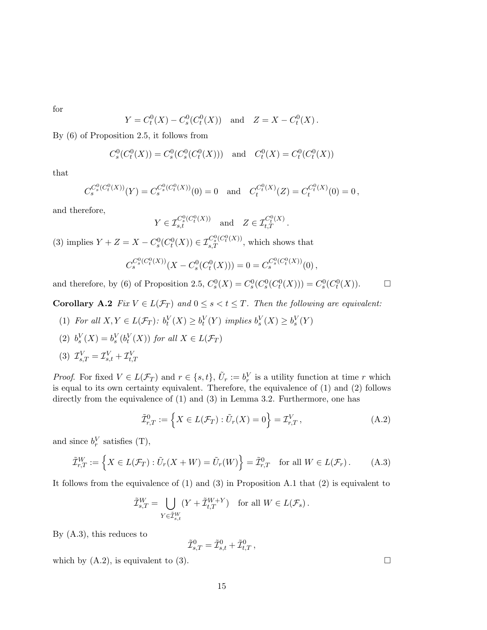for

$$
Y = C_t^0(X) - C_s^0(C_t^0(X))
$$
 and  $Z = X - C_t^0(X)$ .

By (6) of Proposition 2.5, it follows from

$$
C_s^0(C_t^0(X)) = C_s^0(C_s^0(C_t^0(X)))
$$
 and  $C_t^0(X) = C_t^0(C_t^0(X))$ 

that

$$
C_s^{C_s^0(C_t^0(X))}(Y) = C_s^{C_s^0(C_t^0(X))}(0) = 0 \text{ and } C_t^{C_t^0(X)}(Z) = C_t^{C_t^0(X)}(0) = 0,
$$

and therefore,

$$
Y \in \mathcal{I}_{s,t}^{C_s^0(C_t^0(X))} \quad \text{and} \quad Z \in \mathcal{I}_{t,T}^{C_t^0(X)}.
$$

(3) implies  $Y + Z = X - C_s^0(C_t^0(X)) \in \mathcal{I}_{s,T}^{C_s^0(C_t^0(X))}$ , which shows that

$$
C_s^{C_s^0(C_t^0(X))}(X - C_s^0(C_t^0(X))) = 0 = C_s^{C_s^0(C_t^0(X))}(0),
$$

and therefore, by (6) of Proposition 2.5,  $C_s^0(X) = C_s^0(C_s^0(C_t^0(X))) = C_s^0(C_t^0(X))$ .  $\Box$ 

Corollary A.2 Fix  $V \in L(\mathcal{F}_T)$  and  $0 \leq s < t \leq T$ . Then the following are equivalent:

- (1) For all  $X, Y \in L(\mathcal{F}_T)$ :  $b_t^V(X) \geq b_t^V(Y)$  implies  $b_s^V(X) \geq b_s^V(Y)$
- (2)  $b_s^V(X) = b_s^V(b_t^V(X))$  for all  $X \in L(\mathcal{F}_T)$
- (3)  $\mathcal{I}_{s,T}^V = \mathcal{I}_{s,t}^V + \mathcal{I}_{t,T}^V$

*Proof.* For fixed  $V \in L(\mathcal{F}_T)$  and  $r \in \{s, t\}$ ,  $\tilde{U}_r := b_r^V$  is a utility function at time r which is equal to its own certainty equivalent. Therefore, the equivalence of (1) and (2) follows directly from the equivalence of (1) and (3) in Lemma 3.2. Furthermore, one has

$$
\tilde{\mathcal{I}}_{r,T}^0 := \left\{ X \in L(\mathcal{F}_T) : \tilde{U}_r(X) = 0 \right\} = \mathcal{I}_{r,T}^V , \tag{A.2}
$$

and since  $b_r^V$  satisfies (T),

$$
\tilde{\mathcal{I}}_{r,T}^W := \left\{ X \in L(\mathcal{F}_T) : \tilde{U}_r(X + W) = \tilde{U}_r(W) \right\} = \tilde{\mathcal{I}}_{r,T}^0 \quad \text{for all } W \in L(\mathcal{F}_r). \tag{A.3}
$$

It follows from the equivalence of (1) and (3) in Proposition A.1 that (2) is equivalent to

$$
\tilde{\mathcal{I}}_{s,T}^W = \bigcup_{Y \in \tilde{\mathcal{I}}_{s,t}^W} (Y + \tilde{\mathcal{I}}_{t,T}^{W+Y}) \quad \text{for all } W \in L(\mathcal{F}_s) \, .
$$

By (A.3), this reduces to

$$
\tilde{\mathcal{I}}_{s,T}^0 = \tilde{\mathcal{I}}_{s,t}^0 + \tilde{\mathcal{I}}_{t,T}^0 \,,
$$

which by  $(A.2)$ , is equivalent to  $(3)$ .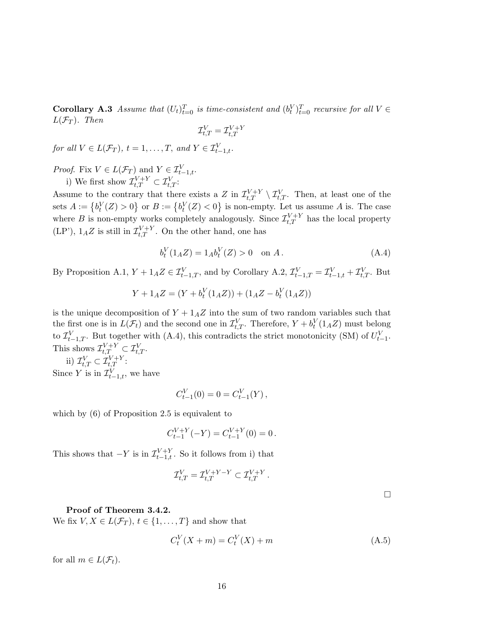**Corollary A.3** Assume that  $(U_t)_{t=0}^T$  is time-consistent and  $(b_t^V)_{t=0}^T$  recursive for all  $V \in$  $L(\mathcal{F}_T)$ . Then

$$
\mathcal{I}_{t,T}^V = \mathcal{I}_{t,T}^{V+Y}
$$

for all  $V \in L(\mathcal{F}_T)$ ,  $t = 1, \ldots, T$ , and  $Y \in \mathcal{I}_{t-1,t}^V$ .

*Proof.* Fix  $V \in L(\mathcal{F}_T)$  and  $Y \in \mathcal{I}_{t-1,t}^V$ . i) We first show  $\mathcal{I}_{t,T}^{V+Y} \subset \mathcal{I}_{t,T}^{V}$ :

Assume to the contrary that there exists a Z in  $\mathcal{I}_{t,T}^{V+Y} \setminus \mathcal{I}_{t,T}^{V}$ . Then, at least one of the sets  $A := \{b_t^V(Z) > 0\}$  or  $B := \{b_t^V(Z) < 0\}$  is non-empty. Let us assume A is. The case where B is non-empty works completely analogously. Since  $\mathcal{I}_{t,T}^{V+Y}$  has the local property  $(LP')$ ,  $1_AZ$  is still in  $\mathcal{I}_{t,T}^{V+Y}$ . On the other hand, one has

$$
b_t^V(1_A Z) = 1_A b_t^V(Z) > 0 \quad \text{on } A. \tag{A.4}
$$

By Proposition A.1,  $Y + 1_A Z \in \mathcal{I}_{t-1,T}^V$ , and by Corollary A.2,  $\mathcal{I}_{t-1,T}^V = \mathcal{I}_{t-1,t}^V + \mathcal{I}_{t,T}^V$ . But

$$
Y + 1_A Z = (Y + b_t^V(1_A Z)) + (1_A Z - b_t^V(1_A Z))
$$

is the unique decomposition of  $Y + 1_A Z$  into the sum of two random variables such that the first one is in  $L(\mathcal{F}_t)$  and the second one in  $\mathcal{I}_{t,T}^V$ . Therefore,  $Y + b_t^V(1_A Z)$  must belong to  $\mathcal{I}_{t-1,T}^V$ . But together with (A.4), this contradicts the strict monotonicity (SM) of  $U_{t-1}^V$ . This shows  $\mathcal{I}_{t,T}^{V+Y} \subset \mathcal{I}_{t,T}^{V}$ .

ii)  $\mathcal{I}_{t,T}^V \subset \mathcal{I}_{t,T}^{V+Y}$ : Since Y is in  $\mathcal{I}_{t-1,t}^V$ , we have

$$
C_{t-1}^V(0) = 0 = C_{t-1}^V(Y),
$$

which by (6) of Proposition 2.5 is equivalent to

$$
C_{t-1}^{V+Y}(-Y) = C_{t-1}^{V+Y}(0) = 0.
$$

This shows that  $-Y$  is in  $\mathcal{I}_{t-1,t}^{V+Y}$ . So it follows from i) that

$$
\mathcal{I}_{t,T}^V=\mathcal{I}_{t,T}^{V+Y-Y}\subset \mathcal{I}_{t,T}^{V+Y}\,.
$$

 $\Box$ 

#### Proof of Theorem 3.4.2.

We fix  $V, X \in L(\mathcal{F}_T), t \in \{1, \ldots, T\}$  and show that

$$
C_t^V(X + m) = C_t^V(X) + m
$$
\n(A.5)

for all  $m \in L(\mathcal{F}_t)$ .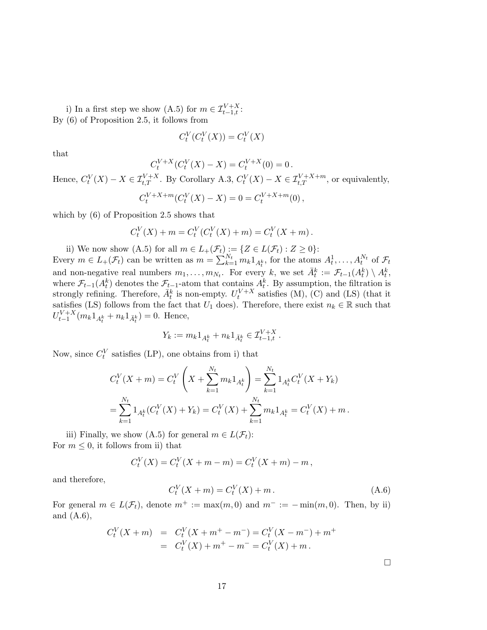i) In a first step we show (A.5) for  $m \in \mathcal{I}_{t-1,t}^{V+X}$ : By (6) of Proposition 2.5, it follows from

$$
C_t^V(C_t^V(X)) = C_t^V(X)
$$

that

$$
C_t^{V+X}(C_t^V(X) - X) = C_t^{V+X}(0) = 0.
$$

Hence,  $C_t^V(X) - X \in \mathcal{I}_{t,T}^{V+X}$ . By Corollary A.3,  $C_t^V(X) - X \in \mathcal{I}_{t,T}^{V+X+m}$ , or equivalently,

$$
C_t^{V+X+m}(C_t^V(X)-X)=0=C_t^{V+X+m}(0),
$$

which by  $(6)$  of Proposition 2.5 shows that

$$
C_t^V(X) + m = C_t^V(C_t^V(X) + m) = C_t^V(X + m).
$$

ii) We now show (A.5) for all  $m \in L_+(\mathcal{F}_t) := \{ Z \in L(\mathcal{F}_t) : Z \geq 0 \}$ : Every  $m \in L_+(\mathcal{F}_t)$  can be written as  $m = \sum_{k=1}^{N_t} m_k 1_{A_t^k}$ , for the atoms  $A_t^1, \ldots, A_t^{N_t}$  of  $\mathcal{F}_t$ and non-negative real numbers  $m_1, \ldots, m_{N_t}$ . For every k, we set  $\bar{A}_t^k := \mathcal{F}_{t-1}(A_t^k) \setminus A_t^k$ , where  $\mathcal{F}_{t-1}(A_t^k)$  denotes the  $\mathcal{F}_{t-1}$ -atom that contains  $A_t^k$ . By assumption, the filtration is strongly refining. Therefore,  $\bar{A}_t^k$  is non-empty.  $U_t^{V+X}$  satisfies (M), (C) and (LS) (that it satisfies (LS) follows from the fact that  $U_1$  does). Therefore, there exist  $n_k \in \mathbb{R}$  such that  $U_{t-1}^{V+X}(m_k 1_{A_t^k} + n_k 1_{\bar{A}_t^k}) = 0.$  Hence,

$$
Y_k := m_k 1_{A_t^k} + n_k 1_{\bar{A}_t^k} \in \mathcal{I}_{t-1,t}^{V+X}.
$$

Now, since  $C_t^V$  satisfies (LP), one obtains from i) that

$$
C_t^V(X + m) = C_t^V\left(X + \sum_{k=1}^{N_t} m_k 1_{A_t^k}\right) = \sum_{k=1}^{N_t} 1_{A_t^k} C_t^V(X + Y_k)
$$
  
= 
$$
\sum_{k=1}^{N_t} 1_{A_t^k}(C_t^V(X) + Y_k) = C_t^V(X) + \sum_{k=1}^{N_t} m_k 1_{A_t^k} = C_t^V(X) + m.
$$

iii) Finally, we show (A.5) for general  $m \in L(\mathcal{F}_t)$ : For  $m \leq 0$ , it follows from ii) that

$$
C_t^V(X) = C_t^V(X + m - m) = C_t^V(X + m) - m,
$$

and therefore,

$$
C_t^V(X + m) = C_t^V(X) + m.
$$
 (A.6)

For general  $m \in L(\mathcal{F}_t)$ , denote  $m^+ := \max(m, 0)$  and  $m^- := -\min(m, 0)$ . Then, by ii) and (A.6),

$$
C_t^V(X + m) = C_t^V(X + m^+ - m^-) = C_t^V(X - m^-) + m^+
$$
  
= 
$$
C_t^V(X) + m^+ - m^- = C_t^V(X) + m.
$$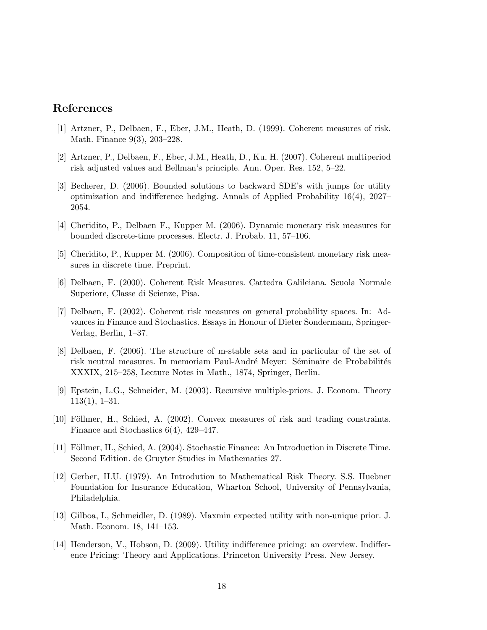## References

- [1] Artzner, P., Delbaen, F., Eber, J.M., Heath, D. (1999). Coherent measures of risk. Math. Finance 9(3), 203–228.
- [2] Artzner, P., Delbaen, F., Eber, J.M., Heath, D., Ku, H. (2007). Coherent multiperiod risk adjusted values and Bellman's principle. Ann. Oper. Res. 152, 5–22.
- [3] Becherer, D. (2006). Bounded solutions to backward SDE's with jumps for utility optimization and indifference hedging. Annals of Applied Probability 16(4), 2027– 2054.
- [4] Cheridito, P., Delbaen F., Kupper M. (2006). Dynamic monetary risk measures for bounded discrete-time processes. Electr. J. Probab. 11, 57–106.
- [5] Cheridito, P., Kupper M. (2006). Composition of time-consistent monetary risk measures in discrete time. Preprint.
- [6] Delbaen, F. (2000). Coherent Risk Measures. Cattedra Galileiana. Scuola Normale Superiore, Classe di Scienze, Pisa.
- [7] Delbaen, F. (2002). Coherent risk measures on general probability spaces. In: Advances in Finance and Stochastics. Essays in Honour of Dieter Sondermann, Springer-Verlag, Berlin, 1–37.
- [8] Delbaen, F. (2006). The structure of m-stable sets and in particular of the set of risk neutral measures. In memoriam Paul-André Meyer: Séminaire de Probabilités XXXIX, 215–258, Lecture Notes in Math., 1874, Springer, Berlin.
- [9] Epstein, L.G., Schneider, M. (2003). Recursive multiple-priors. J. Econom. Theory 113(1), 1–31.
- [10] Föllmer, H., Schied, A. (2002). Convex measures of risk and trading constraints. Finance and Stochastics 6(4), 429–447.
- [11] Föllmer, H., Schied, A. (2004). Stochastic Finance: An Introduction in Discrete Time. Second Edition. de Gruyter Studies in Mathematics 27.
- [12] Gerber, H.U. (1979). An Introdution to Mathematical Risk Theory. S.S. Huebner Foundation for Insurance Education, Wharton School, University of Pennsylvania, Philadelphia.
- [13] Gilboa, I., Schmeidler, D. (1989). Maxmin expected utility with non-unique prior. J. Math. Econom. 18, 141–153.
- [14] Henderson, V., Hobson, D. (2009). Utility indifference pricing: an overview. Indifference Pricing: Theory and Applications. Princeton University Press. New Jersey.